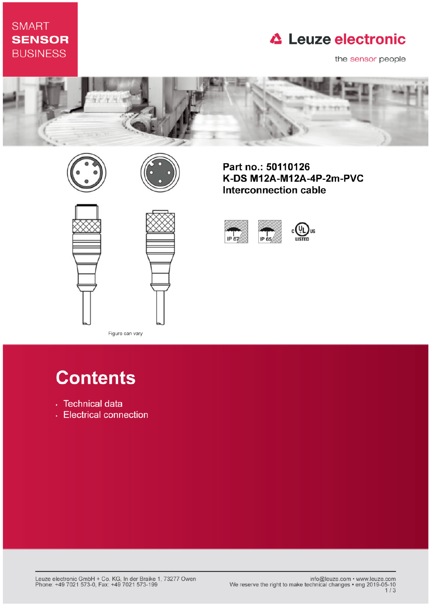### **SMART SENSOR BUSINESS**

## **△ Leuze electronic**

the sensor people







Part no.: 50110126 K-DS M12A-M12A-4P-2m-PVC **Interconnection cable** 







Figure can vary

# **Contents**

- · Technical data
- Electrical connection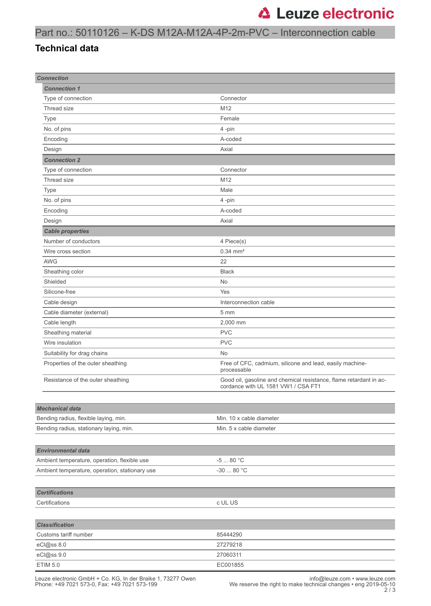#### Part no.: 50110126 – K-DS M12A-M12A-4P-2m-PVC – Interconnection cable

#### **Technical data**

| <b>Connection</b>                              |  |                                                                                                           |
|------------------------------------------------|--|-----------------------------------------------------------------------------------------------------------|
| <b>Connection 1</b>                            |  |                                                                                                           |
| Type of connection                             |  | Connector                                                                                                 |
| Thread size                                    |  | M12                                                                                                       |
| Type                                           |  | Female                                                                                                    |
| No. of pins                                    |  | 4-pin                                                                                                     |
| Encoding                                       |  | A-coded                                                                                                   |
| Design                                         |  | Axial                                                                                                     |
| <b>Connection 2</b>                            |  |                                                                                                           |
| Type of connection                             |  | Connector                                                                                                 |
| Thread size                                    |  | M12                                                                                                       |
| Type                                           |  | Male                                                                                                      |
| No. of pins                                    |  | 4-pin                                                                                                     |
| Encoding                                       |  | A-coded                                                                                                   |
| Design                                         |  | Axial                                                                                                     |
| <b>Cable properties</b>                        |  |                                                                                                           |
| Number of conductors                           |  | 4 Piece(s)                                                                                                |
| Wire cross section                             |  | $0.34 \, \text{mm}^2$                                                                                     |
| <b>AWG</b>                                     |  | 22                                                                                                        |
| Sheathing color                                |  | <b>Black</b>                                                                                              |
| Shielded                                       |  | <b>No</b>                                                                                                 |
| Silicone-free                                  |  | Yes                                                                                                       |
| Cable design                                   |  | Interconnection cable                                                                                     |
| Cable diameter (external)                      |  | $5 \, \text{mm}$                                                                                          |
|                                                |  | 2,000 mm                                                                                                  |
| Cable length                                   |  | <b>PVC</b>                                                                                                |
| Sheathing material<br>Wire insulation          |  | <b>PVC</b>                                                                                                |
| Suitability for drag chains                    |  | No                                                                                                        |
| Properties of the outer sheathing              |  |                                                                                                           |
|                                                |  | Free of CFC, cadmium, silicone and lead, easily machine-<br>processable                                   |
| Resistance of the outer sheathing              |  | Good oil, gasoline and chemical resistance, flame retardant in ac-<br>cordance with UL 1581 VW1 / CSA FT1 |
|                                                |  |                                                                                                           |
| <b>Mechanical data</b>                         |  |                                                                                                           |
| Bending radius, flexible laying, min.          |  | Min. 10 x cable diameter                                                                                  |
| Bending radius, stationary laying, min.        |  | Min. 5 x cable diameter                                                                                   |
|                                                |  |                                                                                                           |
| <b>Environmental data</b>                      |  |                                                                                                           |
| Ambient temperature, operation, flexible use   |  | $-580 °C$                                                                                                 |
| Ambient temperature, operation, stationary use |  | $-30$ 80 $^{\circ}$ C                                                                                     |
|                                                |  |                                                                                                           |
| <b>Certifications</b>                          |  |                                                                                                           |
| Certifications                                 |  | c UL US                                                                                                   |
|                                                |  |                                                                                                           |
| <b>Classification</b>                          |  |                                                                                                           |
| Customs tariff number                          |  | 85444290                                                                                                  |
| eCl@ss 8.0                                     |  | 27279218                                                                                                  |
| eCl@ss 9.0                                     |  | 27060311                                                                                                  |
| <b>ETIM 5.0</b>                                |  | EC001855                                                                                                  |
|                                                |  |                                                                                                           |

Leuze electronic GmbH + Co. KG, In der Braike 1, 73277 Owen<br>10-05-10 hone: +49 7021 573-0, Fax: +49 7021 573-199<br>2 / 2